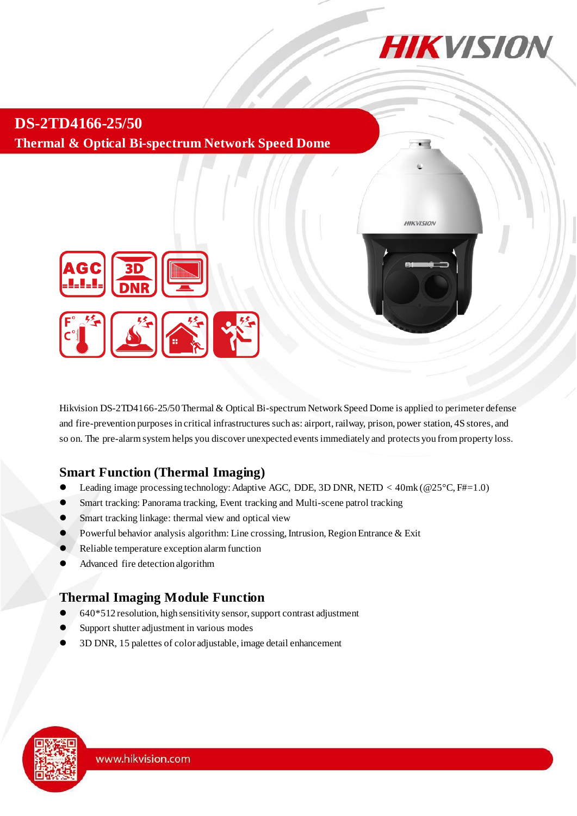

**HIKVISION** 

**DS-2TD4166-25/50 Thermal & Optical Bi-spectrum Network Speed Dome**



Hikvision DS-2TD4166-25/50Thermal & Optical Bi-spectrum Network Speed Dome is applied to perimeter defense and fire-prevention purposes in critical infrastructures such as: airport, railway, prison, power station, 4S stores, and so on. The pre-alarm system helps you discover unexpected events immediately and protects you from property loss.

#### **Smart Function (Thermal Imaging)**

- Leading image processing technology: Adaptive AGC, DDE, 3D DNR, NETD < 40mk (@25°C, F#=1.0)
- Smart tracking: Panorama tracking, Event tracking and Multi-scene patrol tracking
- **Smart tracking linkage: thermal view and optical view**
- Powerful behavior analysis algorithm: Line crossing, Intrusion, Region Entrance & Exit
- Reliable temperature exception alarm function
- Advanced fire detection algorithm

#### **Thermal Imaging Module Function**

- 640\*512 resolution, high sensitivity sensor, support contrast adjustment
- Support shutter adjustment in various modes
- 3D DNR, 15 palettes of color adjustable, image detail enhancement

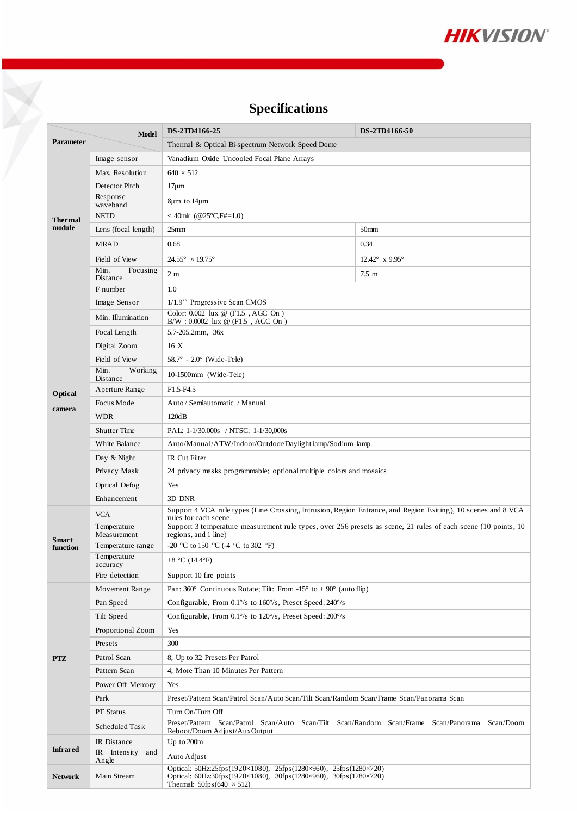

# **Specifications**

|                                  |                                     | <b>Specifications</b>                                                                                                                                         |                                    |  |  |  |  |  |
|----------------------------------|-------------------------------------|---------------------------------------------------------------------------------------------------------------------------------------------------------------|------------------------------------|--|--|--|--|--|
|                                  |                                     | DS-2TD4166-50                                                                                                                                                 |                                    |  |  |  |  |  |
| <b>Model</b><br><b>Parameter</b> |                                     | DS-2TD4166-25<br>Thermal & Optical Bi-spectrum Network Speed Dome                                                                                             |                                    |  |  |  |  |  |
|                                  |                                     |                                                                                                                                                               |                                    |  |  |  |  |  |
|                                  | Image sensor                        | Vanadium Oxide Uncooled Focal Plane Arrays                                                                                                                    |                                    |  |  |  |  |  |
|                                  | Max. Resolution<br>Detector Pitch   | $640 \times 512$                                                                                                                                              |                                    |  |  |  |  |  |
|                                  | Response                            | $17 \mu m$                                                                                                                                                    |                                    |  |  |  |  |  |
|                                  | waveband                            | $8\mu m$ to $14\mu m$                                                                                                                                         |                                    |  |  |  |  |  |
| <b>Thermal</b>                   | <b>NETD</b>                         | <40mk (@25°C,F#=1.0)                                                                                                                                          |                                    |  |  |  |  |  |
| module                           | Lens (focal length)                 | 25 <sub>mm</sub>                                                                                                                                              | 50 <sub>mm</sub>                   |  |  |  |  |  |
|                                  | <b>MRAD</b>                         | 0.68                                                                                                                                                          | 0.34                               |  |  |  |  |  |
|                                  | Field of View                       | $24.55^{\circ} \times 19.75^{\circ}$                                                                                                                          | 12.42 $^{\circ}$ x 9.95 $^{\circ}$ |  |  |  |  |  |
|                                  | Min.<br>Focusing<br><b>Distance</b> | 2 <sub>m</sub>                                                                                                                                                | $7.5 \text{ m}$                    |  |  |  |  |  |
|                                  | F number                            | 1.0                                                                                                                                                           |                                    |  |  |  |  |  |
|                                  | Image Sensor                        | 1/1.9" Progressive Scan CMOS                                                                                                                                  |                                    |  |  |  |  |  |
|                                  | Min. Illumination                   | Color: $0.002$ lux @ (F1.5, AGC On)<br>$B/W : 0.0002$ lux @ (F1.5, AGC On)                                                                                    |                                    |  |  |  |  |  |
|                                  | Focal Length                        | 5.7-205.2mm, 36x                                                                                                                                              |                                    |  |  |  |  |  |
|                                  | Digital Zoom                        | 16X                                                                                                                                                           |                                    |  |  |  |  |  |
|                                  | Field of View                       | $58.7^{\circ}$ - 2.0 $^{\circ}$ (Wide-Tele)                                                                                                                   |                                    |  |  |  |  |  |
|                                  | Min.<br>Working<br>Distance         | 10-1500mm (Wide-Tele)                                                                                                                                         |                                    |  |  |  |  |  |
| Optical                          | Aperture Range                      | F1.5-F4.5                                                                                                                                                     |                                    |  |  |  |  |  |
|                                  | Focus Mode                          | Auto / Semiautomatic / Manual                                                                                                                                 |                                    |  |  |  |  |  |
| camera                           | <b>WDR</b>                          | 120dB                                                                                                                                                         |                                    |  |  |  |  |  |
|                                  | <b>Shutter Time</b>                 | PAL: 1-1/30,000s / NTSC: 1-1/30,000s                                                                                                                          |                                    |  |  |  |  |  |
|                                  | White Balance                       | Auto/Manual/ATW/Indoor/Outdoor/Daylight lamp/Sodium lamp                                                                                                      |                                    |  |  |  |  |  |
|                                  | Day & Night                         | <b>IR</b> Cut Filter                                                                                                                                          |                                    |  |  |  |  |  |
|                                  | Privacy Mask                        | 24 privacy masks programmable; optional multiple colors and mosaics                                                                                           |                                    |  |  |  |  |  |
|                                  | <b>Optical Defog</b>                | Yes                                                                                                                                                           |                                    |  |  |  |  |  |
|                                  | Enhancement                         | 3D DNR                                                                                                                                                        |                                    |  |  |  |  |  |
|                                  | <b>VCA</b>                          | Support 4 VCA rule types (Line Crossing, Intrusion, Region Entrance, and Region Exiting), 10 scenes and 8 VCA                                                 |                                    |  |  |  |  |  |
|                                  | Temperature                         | rules for each scene.<br>Support 3 temperature measurement rule types, over 256 presets as scene, 21 rules of each scene (10 points, 10                       |                                    |  |  |  |  |  |
| Smart                            | Measurement                         | regions, and 1 line)                                                                                                                                          |                                    |  |  |  |  |  |
| function                         | Temperature range                   | -20 °C to 150 °C (-4 °C to 302 °F)                                                                                                                            |                                    |  |  |  |  |  |
|                                  | Temperature<br>accuracy             | $\pm 8$ °C (14.4°F)                                                                                                                                           |                                    |  |  |  |  |  |
|                                  | Fire detection                      | Support 10 fire points                                                                                                                                        |                                    |  |  |  |  |  |
|                                  | Movement Range                      | Pan: $360^{\circ}$ Continuous Rotate; Tilt: From -15° to +90° (auto flip)                                                                                     |                                    |  |  |  |  |  |
|                                  | Pan Speed                           | Configurable, From 0.1% to 160%, Preset Speed: 240%                                                                                                           |                                    |  |  |  |  |  |
|                                  | Tilt Speed                          | Configurable, From $0.1\%$ to $120\%$ , Preset Speed: $200\%$                                                                                                 |                                    |  |  |  |  |  |
|                                  | Proportional Zoom                   | Yes                                                                                                                                                           |                                    |  |  |  |  |  |
|                                  | Presets                             | 300                                                                                                                                                           |                                    |  |  |  |  |  |
| <b>PTZ</b>                       | Patrol Scan                         | 8; Up to 32 Presets Per Patrol                                                                                                                                |                                    |  |  |  |  |  |
|                                  | Pattern Scan                        | 4; More Than 10 Minutes Per Pattern                                                                                                                           |                                    |  |  |  |  |  |
|                                  | Power Off Memory                    | Yes                                                                                                                                                           |                                    |  |  |  |  |  |
|                                  | Park                                | Preset/Pattern Scan/Patrol Scan/Auto Scan/Tilt Scan/Random Scan/Frame Scan/Panorama Scan                                                                      |                                    |  |  |  |  |  |
|                                  | PT Status                           | Turn On/Turn Off                                                                                                                                              |                                    |  |  |  |  |  |
|                                  | Scheduled Task                      | Preset/Pattern Scan/Patrol Scan/Auto Scan/Tilt Scan/Random Scan/Frame Scan/Panorama Scan/Doom                                                                 |                                    |  |  |  |  |  |
|                                  | IR Distance                         | Reboot/Doom Adjust/AuxOutput<br>Up to 200m                                                                                                                    |                                    |  |  |  |  |  |
| <b>Infrared</b>                  | IR Intensity and                    |                                                                                                                                                               |                                    |  |  |  |  |  |
|                                  | Angle                               | Auto Adjust<br>Optical: 50Hz:25fps(1920×1080), 25fps(1280×960), 25fps(1280×720)                                                                               |                                    |  |  |  |  |  |
| <b>Network</b>                   | Main Stream                         | Optical: $60\text{Hz}:\,30\text{fps}(1920\times1080)$ , $30\text{fps}(1280\times960)$ , $30\text{fps}(1280\times720)$<br>Thermal: $50$ fps $(640 \times 512)$ |                                    |  |  |  |  |  |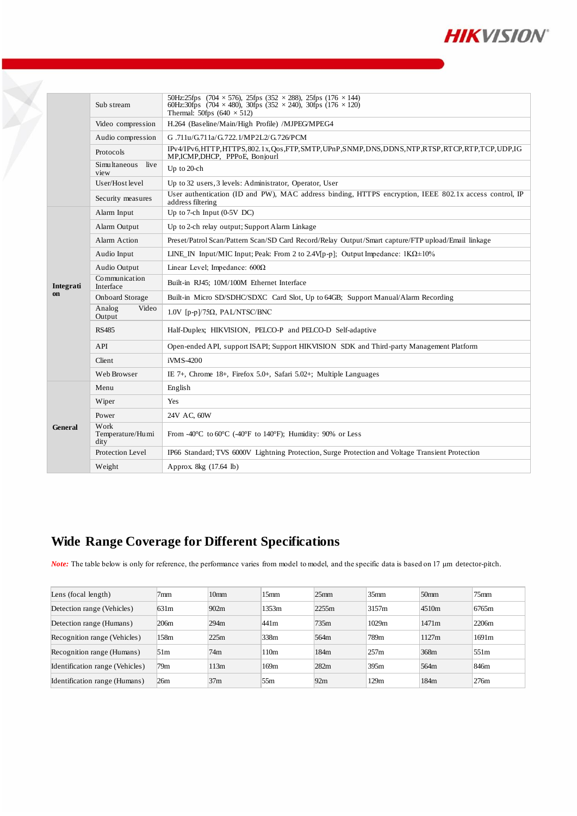

|  |                 | Sub stream                                   | 50Hz:25fps $(704 \times 576)$ , 25fps $(352 \times 288)$ , 25fps $(176 \times 144)$<br>60Hz:30fps (704 $\times$ 480), 30fps (352 $\times$ 240), 30fps (176 $\times$ 120)<br>Thermal: 50fps $(640 \times 512)$ |  |  |  |  |  |
|--|-----------------|----------------------------------------------|---------------------------------------------------------------------------------------------------------------------------------------------------------------------------------------------------------------|--|--|--|--|--|
|  |                 | Video compression                            | H.264 (Baseline/Main/High Profile) /MJPEG/MPEG4                                                                                                                                                               |  |  |  |  |  |
|  |                 | Audio compression                            | G.711u/G.711a/G.722.1/MP2L2/G.726/PCM                                                                                                                                                                         |  |  |  |  |  |
|  |                 | Protocols                                    | IPv4/IPv6,HTTP,HTTPS,802.1x,Qos,FTP,SMTP,UPnP,SNMP,DNS,DDNS,NTP,RTSP,RTCP,RTP,TCP,UDP,IG<br>MP,ICMP,DHCP, PPPoE, Bonjourl                                                                                     |  |  |  |  |  |
|  |                 | Simultaneous live<br>view                    | Up to 20-ch                                                                                                                                                                                                   |  |  |  |  |  |
|  |                 | User/Host level                              | Up to 32 users, 3 levels: Administrator, Operator, User                                                                                                                                                       |  |  |  |  |  |
|  |                 | Security measures                            | User authentication (ID and PW), MAC address binding, HTTPS encryption, IEEE 802.1x access control, IP<br>address filtering                                                                                   |  |  |  |  |  |
|  |                 | Up to 7-ch Input $(0-5V)$ DC)<br>Alarm Input |                                                                                                                                                                                                               |  |  |  |  |  |
|  | Integrati<br>on | Alarm Output                                 | Up to 2-ch relay output; Support Alarm Linkage                                                                                                                                                                |  |  |  |  |  |
|  |                 | Alarm Action                                 | Preset/Patrol Scan/Pattern Scan/SD Card Record/Relay Output/Smart capture/FTP upload/Email linkage                                                                                                            |  |  |  |  |  |
|  |                 | Audio Input                                  | LINE_IN Input/MIC Input; Peak: From 2 to 2.4V[p-p]; Output Impedance: $1K\Omega \pm 10\%$                                                                                                                     |  |  |  |  |  |
|  |                 | Audio Output                                 | Linear Level; Impedance: $600\Omega$                                                                                                                                                                          |  |  |  |  |  |
|  |                 | Communication<br>Interface                   | Built-in RJ45; 10M/100M Ethernet Interface                                                                                                                                                                    |  |  |  |  |  |
|  |                 | <b>Onboard Storage</b>                       | Built-in Micro SD/SDHC/SDXC Card Slot, Up to 64GB; Support Manual/Alarm Recording                                                                                                                             |  |  |  |  |  |
|  |                 | Analog<br>Video<br>Output                    | $1.0V$ [p-p]/75 $\Omega$ , PAL/NTSC/BNC                                                                                                                                                                       |  |  |  |  |  |
|  |                 | <b>RS485</b>                                 | Half-Duplex; HIKVISION, PELCO-P and PELCO-D Self-adaptive                                                                                                                                                     |  |  |  |  |  |
|  |                 | API                                          | Open-ended API, support ISAPI; Support HIKVISION SDK and Third-party Management Platform                                                                                                                      |  |  |  |  |  |
|  |                 | Client                                       | iVMS-4200                                                                                                                                                                                                     |  |  |  |  |  |
|  |                 | Web Browser                                  | IE 7+, Chrome 18+, Firefox 5.0+, Safari 5.02+; Multiple Languages                                                                                                                                             |  |  |  |  |  |
|  | <b>General</b>  | Menu                                         | English                                                                                                                                                                                                       |  |  |  |  |  |
|  |                 | Wiper                                        | Yes                                                                                                                                                                                                           |  |  |  |  |  |
|  |                 | Power                                        | 24V AC, 60W                                                                                                                                                                                                   |  |  |  |  |  |
|  |                 | Work<br>Temperature/Humi<br>dity             | From -40 $\degree$ C to 60 $\degree$ C (-40 $\degree$ F to 140 $\degree$ F); Humidity: 90% or Less                                                                                                            |  |  |  |  |  |
|  |                 | Protection Level                             | IP66 Standard; TVS 6000V Lightning Protection, Surge Protection and Voltage Transient Protection                                                                                                              |  |  |  |  |  |
|  |                 | Weight                                       | Approx. 8kg (17.64 lb)                                                                                                                                                                                        |  |  |  |  |  |

## **Wide Range Coverage for Different Specifications**

*Note:* The table below is only for reference, the performance varies from model to model, and the specific data is based on 17 μm detector-pitch.

| Lens (focal length)             | 7mm  | 10 <sub>mm</sub> | 15mm             | 25 <sub>mm</sub> | 35 <sub>mm</sub> | 50 <sub>mm</sub> | $75$ mm          |
|---------------------------------|------|------------------|------------------|------------------|------------------|------------------|------------------|
| Detection range (Vehicles)      | 631m | 902m             | 1353m            | 2255m            | 3157m            | 4510m            | 6765m            |
| Detection range (Humans)        | 206m | 294m             | 441 <sub>m</sub> | 735m             | 1029m            | 1471m            | 2206m            |
| Recognition range (Vehicles)    | 158m | 225m             | 338m             | 564m             | 789m             | 1127m            | 1691m            |
| Recognition range (Humans)      | 51m  | 74m              | 110 <sub>m</sub> | 184m             | 257m             | 368m             | 551 <sub>m</sub> |
| Identification range (Vehicles) | 79m  | 113m             | 169m             | 282m             | 395m             | 564m             | 846m             |
| Identification range (Humans)   | 26m  | 37 <sub>m</sub>  | 55m              | 92m              | 129m             | 184m             | 276m             |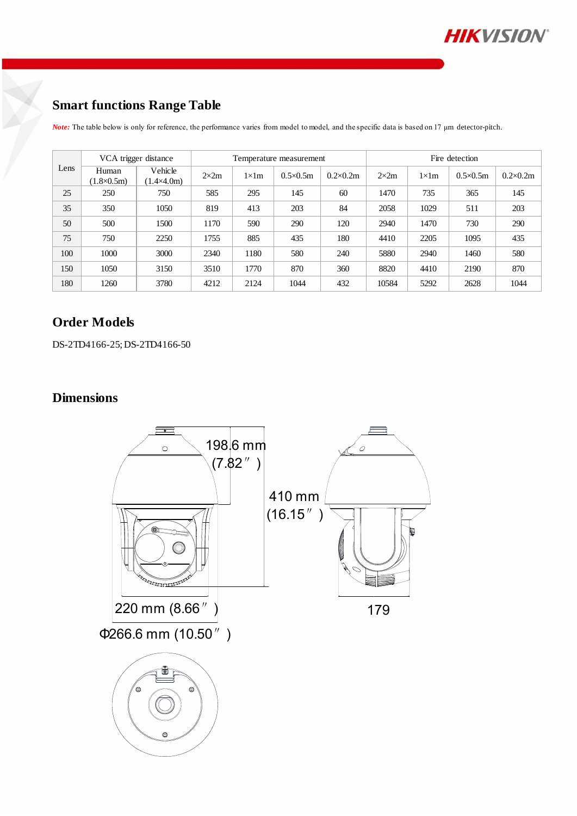

## **Smart functions Range Table**

*Note:* The table below is only for reference, the performance varies from model to model, and the specific data is based on 17 μm detector-pitch.

| Lens | VCA trigger distance         |                                | Temperature measurement |               |                   |                  | Fire detection |               |                   |                   |
|------|------------------------------|--------------------------------|-------------------------|---------------|-------------------|------------------|----------------|---------------|-------------------|-------------------|
|      | Human<br>$(1.8 \times 0.5m)$ | Vehicle<br>$(1.4 \times 4.0m)$ | $2\times 2m$            | $1 \times 1m$ | $0.5 \times 0.5m$ | $0.2\times 0.2m$ | $2\times 2m$   | $1 \times 1m$ | $0.5 \times 0.5m$ | $0.2 \times 0.2m$ |
| 25   | 250                          | 750                            | 585                     | 295           | 145               | 60               | 1470           | 735           | 365               | 145               |
| 35   | 350                          | 1050                           | 819                     | 413           | 203               | 84               | 2058           | 1029          | 511               | 203               |
| 50   | 500                          | 1500                           | 1170                    | 590           | 290               | 120              | 2940           | 1470          | 730               | 290               |
| 75   | 750                          | 2250                           | 1755                    | 885           | 435               | 180              | 4410           | 2205          | 1095              | 435               |
| 100  | 1000                         | 3000                           | 2340                    | 1180          | 580               | 240              | 5880           | 2940          | 1460              | 580               |
| 150  | 1050                         | 3150                           | 3510                    | 1770          | 870               | 360              | 8820           | 4410          | 2190              | 870               |
| 180  | 1260                         | 3780                           | 4212                    | 2124          | 1044              | 432              | 10584          | 5292          | 2628              | 1044              |

#### **Order Models**

DS-2TD4166-25; DS-2TD4166-50

### **Dimensions**